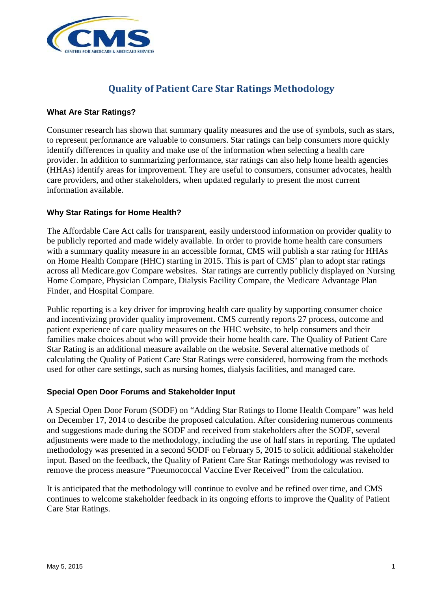

# **Quality of Patient Care Star Ratings Methodology**

#### **What Are Star Ratings?**

Consumer research has shown that summary quality measures and the use of symbols, such as stars, to represent performance are valuable to consumers. Star ratings can help consumers more quickly identify differences in quality and make use of the information when selecting a health care provider. In addition to summarizing performance, star ratings can also help home health agencies (HHAs) identify areas for improvement. They are useful to consumers, consumer advocates, health care providers, and other stakeholders, when updated regularly to present the most current information available.

### **Why Star Ratings for Home Health?**

The Affordable Care Act calls for transparent, easily understood information on provider quality to be publicly reported and made widely available. In order to provide home health care consumers with a summary quality measure in an accessible format, CMS will publish a star rating for HHAs on Home Health Compare (HHC) starting in 2015. This is part of CMS' plan to adopt star ratings across all Medicare.gov Compare websites. Star ratings are currently publicly displayed on Nursing Home Compare, Physician Compare, Dialysis Facility Compare, the Medicare Advantage Plan Finder, and Hospital Compare.

Public reporting is a key driver for improving health care quality by supporting consumer choice and incentivizing provider quality improvement. CMS currently reports 27 process, outcome and patient experience of care quality measures on the HHC website, to help consumers and their families make choices about who will provide their home health care. The Quality of Patient Care Star Rating is an additional measure available on the website. Several alternative methods of calculating the Quality of Patient Care Star Ratings were considered, borrowing from the methods used for other care settings, such as nursing homes, dialysis facilities, and managed care.

#### **Special Open Door Forums and Stakeholder Input**

A Special Open Door Forum (SODF) on "Adding Star Ratings to Home Health Compare" was held on December 17, 2014 to describe the proposed calculation. After considering numerous comments and suggestions made during the SODF and received from stakeholders after the SODF, several adjustments were made to the methodology, including the use of half stars in reporting. The updated methodology was presented in a second SODF on February 5, 2015 to solicit additional stakeholder input. Based on the feedback, the Quality of Patient Care Star Ratings methodology was revised to remove the process measure "Pneumococcal Vaccine Ever Received" from the calculation.

It is anticipated that the methodology will continue to evolve and be refined over time, and CMS continues to welcome stakeholder feedback in its ongoing efforts to improve the Quality of Patient Care Star Ratings.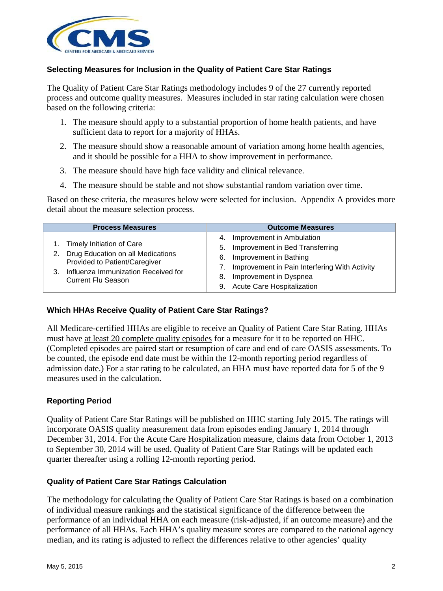

### **Selecting Measures for Inclusion in the Quality of Patient Care Star Ratings**

The Quality of Patient Care Star Ratings methodology includes 9 of the 27 currently reported process and outcome quality measures. Measures included in star rating calculation were chosen based on the following criteria:

- 1. The measure should apply to a substantial proportion of home health patients, and have sufficient data to report for a majority of HHAs.
- 2. The measure should show a reasonable amount of variation among home health agencies, and it should be possible for a HHA to show improvement in performance.
- 3. The measure should have high face validity and clinical relevance.
- 4. The measure should be stable and not show substantial random variation over time.

Based on these criteria, the measures below were selected for inclusion. Appendix A provides more detail about the measure selection process.

| <b>Process Measures</b>                                                                                                                                                            | <b>Outcome Measures</b>                                                                                                                                                                                           |
|------------------------------------------------------------------------------------------------------------------------------------------------------------------------------------|-------------------------------------------------------------------------------------------------------------------------------------------------------------------------------------------------------------------|
| 1. Timely Initiation of Care<br>Drug Education on all Medications<br>2.<br>Provided to Patient/Caregiver<br>Influenza Immunization Received for<br>3.<br><b>Current Flu Season</b> | 4. Improvement in Ambulation<br>5. Improvement in Bed Transferring<br>6. Improvement in Bathing<br>7. Improvement in Pain Interfering With Activity<br>8. Improvement in Dyspnea<br>9. Acute Care Hospitalization |

#### **Which HHAs Receive Quality of Patient Care Star Ratings?**

All Medicare-certified HHAs are eligible to receive an Quality of Patient Care Star Rating. HHAs must have at least 20 complete quality episodes for a measure for it to be reported on HHC. (Completed episodes are paired start or resumption of care and end of care OASIS assessments. To be counted, the episode end date must be within the 12-month reporting period regardless of admission date.) For a star rating to be calculated, an HHA must have reported data for 5 of the 9 measures used in the calculation.

#### **Reporting Period**

Quality of Patient Care Star Ratings will be published on HHC starting July 2015. The ratings will incorporate OASIS quality measurement data from episodes ending January 1, 2014 through December 31, 2014. For the Acute Care Hospitalization measure, claims data from October 1, 2013 to September 30, 2014 will be used. Quality of Patient Care Star Ratings will be updated each quarter thereafter using a rolling 12-month reporting period.

#### **Quality of Patient Care Star Ratings Calculation**

The methodology for calculating the Quality of Patient Care Star Ratings is based on a combination of individual measure rankings and the statistical significance of the difference between the performance of an individual HHA on each measure (risk-adjusted, if an outcome measure) and the performance of all HHAs. Each HHA's quality measure scores are compared to the national agency median, and its rating is adjusted to reflect the differences relative to other agencies' quality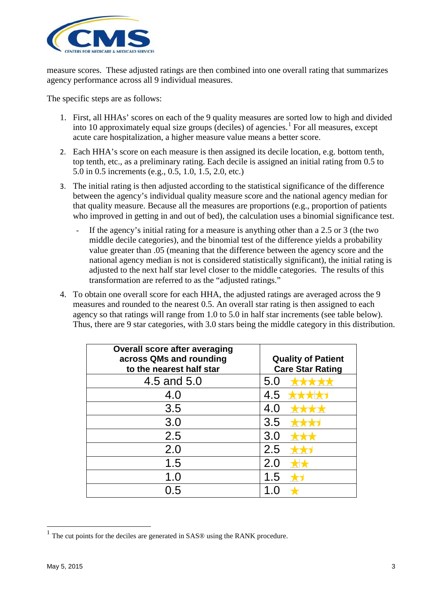

measure scores. These adjusted ratings are then combined into one overall rating that summarizes agency performance across all 9 individual measures.

The specific steps are as follows:

- 1. First, all HHAs' scores on each of the 9 quality measures are sorted low to high and divided into 10 approximately equal size groups (deciles) of agencies. [1](#page-2-0) For all measures, except acute care hospitalization, a higher measure value means a better score.
- 2. Each HHA's score on each measure is then assigned its decile location, e.g. bottom tenth, top tenth, etc., as a preliminary rating. Each decile is assigned an initial rating from 0.5 to 5.0 in 0.5 increments (e.g., 0.5, 1.0, 1.5, 2.0, etc.)
- 3. The initial rating is then adjusted according to the statistical significance of the difference between the agency's individual quality measure score and the national agency median for that quality measure. Because all the measures are proportions (e.g., proportion of patients who improved in getting in and out of bed), the calculation uses a binomial significance test.
	- If the agency's initial rating for a measure is anything other than a  $2.5$  or  $3$  (the two middle decile categories), and the binomial test of the difference yields a probability value greater than .05 (meaning that the difference between the agency score and the national agency median is not is considered statistically significant), the initial rating is adjusted to the next half star level closer to the middle categories. The results of this transformation are referred to as the "adjusted ratings."
- 4. To obtain one overall score for each HHA, the adjusted ratings are averaged across the 9 measures and rounded to the nearest 0.5. An overall star rating is then assigned to each agency so that ratings will range from 1.0 to 5.0 in half star increments (see table below). Thus, there are 9 star categories, with 3.0 stars being the middle category in this distribution.

| <b>Overall score after averaging</b><br>across QMs and rounding<br>to the nearest half star | <b>Quality of Patient</b><br><b>Care Star Rating</b> |
|---------------------------------------------------------------------------------------------|------------------------------------------------------|
| 4.5 and 5.0                                                                                 | 5.0                                                  |
| 4.0                                                                                         | 4.5                                                  |
| 3.5                                                                                         | 4.0                                                  |
| 3.0                                                                                         | 3.5                                                  |
| 2.5                                                                                         | 3.0                                                  |
| 2.0                                                                                         | 2.5                                                  |
| 1.5                                                                                         | 2.0                                                  |
| 1.0                                                                                         | 1.5                                                  |
| 0.5                                                                                         |                                                      |

 $\overline{a}$ 

<span id="page-2-0"></span>The cut points for the deciles are generated in SAS® using the RANK procedure.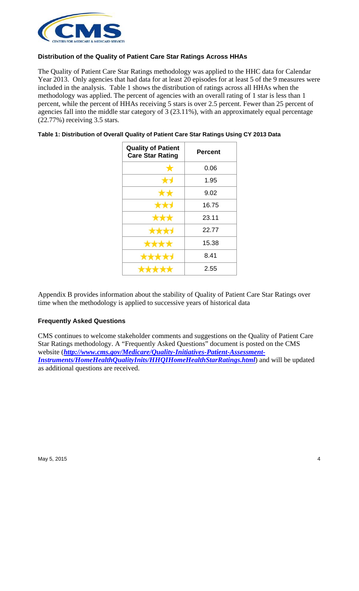

## **Distribution of the Quality of Patient Care Star Ratings Across HHAs**

The Quality of Patient Care Star Ratings methodology was applied to the HHC data for Calendar Year 2013. Only agencies that had data for at least 20 episodes for at least 5 of the 9 measures were included in the analysis. Table 1 shows the distribution of ratings across all HHAs when the methodology was applied. The percent of agencies with an overall rating of 1 star is less than 1 percent, while the percent of HHAs receiving 5 stars is over 2.5 percent. Fewer than 25 percent of agencies fall into the middle star category of 3 (23.11%), with an approximately equal percentage (22.77%) receiving 3.5 stars.

| Table 1: Distribution of Overall Quality of Patient Care Star Ratings Using CY 2013 Data |  |  |
|------------------------------------------------------------------------------------------|--|--|
|                                                                                          |  |  |

| <b>Quality of Patient</b><br><b>Care Star Rating</b> | <b>Percent</b> |  |  |  |
|------------------------------------------------------|----------------|--|--|--|
| $\bigstar$                                           | 0.06           |  |  |  |
|                                                      | 1.95           |  |  |  |
|                                                      | 9.02           |  |  |  |
|                                                      | 16.75          |  |  |  |
| ***                                                  | 23.11          |  |  |  |
| ***                                                  | 22.77          |  |  |  |
| ***                                                  | 15.38          |  |  |  |
|                                                      | 8.41           |  |  |  |
|                                                      | 2.55           |  |  |  |

Appendix B provides information about the stability of Quality of Patient Care Star Ratings over time when the methodology is applied to successive years of historical data

#### **Frequently Asked Questions**

CMS continues to welcome stakeholder comments and suggestions on the Quality of Patient Care Star Ratings methodology. A "Frequently Asked Questions" document is posted on the CMS website (*http://www.cms.gov/Medicare/Quality-Initiatives-Patient-Assessment-Instruments/HomeHealthQualityInits/HHQIHomeHealthStarRatings.html*) and will be updated as additional questions are received.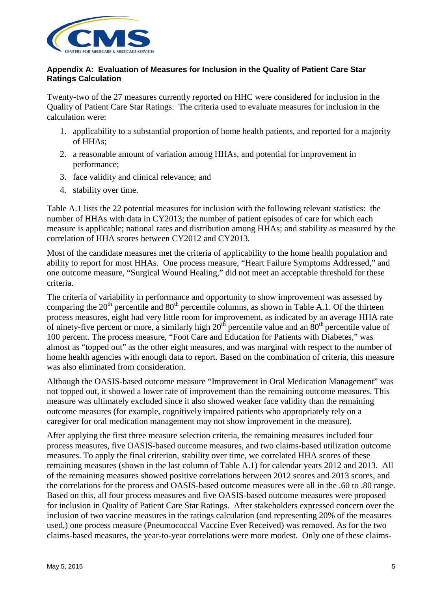

#### **Appendix A: Evaluation of Measures for Inclusion in the Quality of Patient Care Star Ratings Calculation**

Twenty-two of the 27 measures currently reported on HHC were considered for inclusion in the Quality of Patient Care Star Ratings. The criteria used to evaluate measures for inclusion in the calculation were:

- 1. applicability to a substantial proportion of home health patients, and reported for a majority of HHAs;
- 2. a reasonable amount of variation among HHAs, and potential for improvement in performance;
- 3. face validity and clinical relevance; and
- 4. stability over time.

Table A.1 lists the 22 potential measures for inclusion with the following relevant statistics: the number of HHAs with data in CY2013; the number of patient episodes of care for which each measure is applicable; national rates and distribution among HHAs; and stability as measured by the correlation of HHA scores between CY2012 and CY2013.

Most of the candidate measures met the criteria of applicability to the home health population and ability to report for most HHAs. One process measure, "Heart Failure Symptoms Addressed," and one outcome measure, "Surgical Wound Healing," did not meet an acceptable threshold for these criteria.

The criteria of variability in performance and opportunity to show improvement was assessed by comparing the  $20<sup>th</sup>$  percentile and  $80<sup>th</sup>$  percentile columns, as shown in Table A.1. Of the thirteen process measures, eight had very little room for improvement, as indicated by an average HHA rate of ninety-five percent or more, a similarly high  $20<sup>th</sup>$  percentile value and an  $80<sup>th</sup>$  percentile value of 100 percent. The process measure, "Foot Care and Education for Patients with Diabetes," was almost as "topped out" as the other eight measures, and was marginal with respect to the number of home health agencies with enough data to report. Based on the combination of criteria, this measure was also eliminated from consideration.

Although the OASIS-based outcome measure "Improvement in Oral Medication Management" was not topped out, it showed a lower rate of improvement than the remaining outcome measures. This measure was ultimately excluded since it also showed weaker face validity than the remaining outcome measures (for example, cognitively impaired patients who appropriately rely on a caregiver for oral medication management may not show improvement in the measure).

After applying the first three measure selection criteria, the remaining measures included four process measures, five OASIS-based outcome measures, and two claims-based utilization outcome measures. To apply the final criterion, stability over time, we correlated HHA scores of these remaining measures (shown in the last column of Table A.1) for calendar years 2012 and 2013. All of the remaining measures showed positive correlations between 2012 scores and 2013 scores, and the correlations for the process and OASIS-based outcome measures were all in the .60 to .80 range. Based on this, all four process measures and five OASIS-based outcome measures were proposed for inclusion in Quality of Patient Care Star Ratings. After stakeholders expressed concern over the inclusion of two vaccine measures in the ratings calculation (and representing 20% of the measures used,) one process measure (Pneumococcal Vaccine Ever Received) was removed. As for the two claims-based measures, the year-to-year correlations were more modest. Only one of these claims-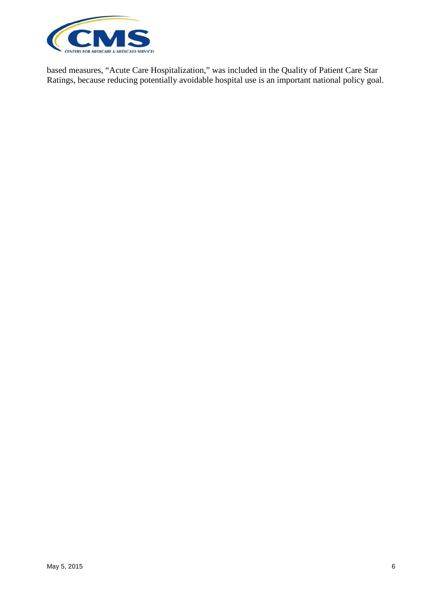

based measures, "Acute Care Hospitalization," was included in the Quality of Patient Care Star Ratings, because reducing potentially avoidable hospital use is an important national policy goal.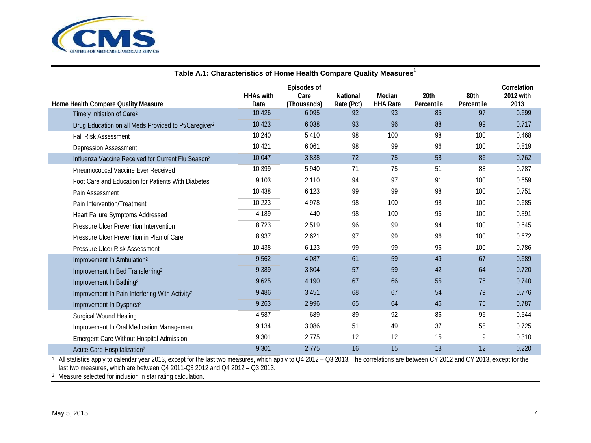

| Table A.1: Characteristics of Home Health Compare Quality Measures <sup>1</sup> |                          |                                    |                        |                           |                    |                    |                                  |  |  |
|---------------------------------------------------------------------------------|--------------------------|------------------------------------|------------------------|---------------------------|--------------------|--------------------|----------------------------------|--|--|
| Home Health Compare Quality Measure                                             | <b>HHAs with</b><br>Data | Episodes of<br>Care<br>(Thousands) | National<br>Rate (Pct) | Median<br><b>HHA Rate</b> | 20th<br>Percentile | 80th<br>Percentile | Correlation<br>2012 with<br>2013 |  |  |
| Timely Initiation of Care <sup>2</sup>                                          | 10,426                   | 6,095                              | 92                     | 93                        | 85                 | 97                 | 0.699                            |  |  |
| Drug Education on all Meds Provided to Pt/Caregiver <sup>2</sup>                | 10,423                   | 6,038                              | 93                     | 96                        | 88                 | 99                 | 0.717                            |  |  |
| <b>Fall Risk Assessment</b>                                                     | 10,240                   | 5,410                              | 98                     | 100                       | 98                 | 100                | 0.468                            |  |  |
| <b>Depression Assessment</b>                                                    | 10,421                   | 6,061                              | 98                     | 99                        | 96                 | 100                | 0.819                            |  |  |
| Influenza Vaccine Received for Current Flu Season <sup>2</sup>                  | 10,047                   | 3,838                              | 72                     | 75                        | 58                 | 86                 | 0.762                            |  |  |
| Pneumococcal Vaccine Ever Received                                              | 10,399                   | 5,940                              | 71                     | 75                        | 51                 | 88                 | 0.787                            |  |  |
| Foot Care and Education for Patients With Diabetes                              | 9,103                    | 2,110                              | 94                     | 97                        | 91                 | 100                | 0.659                            |  |  |
| Pain Assessment                                                                 | 10,438                   | 6,123                              | 99                     | 99                        | 98                 | 100                | 0.751                            |  |  |
| Pain Intervention/Treatment                                                     | 10,223                   | 4,978                              | 98                     | 100                       | 98                 | 100                | 0.685                            |  |  |
| Heart Failure Symptoms Addressed                                                | 4,189                    | 440                                | 98                     | 100                       | 96                 | 100                | 0.391                            |  |  |
| Pressure Ulcer Prevention Intervention                                          | 8,723                    | 2,519                              | 96                     | 99                        | 94                 | 100                | 0.645                            |  |  |
| Pressure Ulcer Prevention in Plan of Care                                       | 8,937                    | 2,621                              | 97                     | 99                        | 96                 | 100                | 0.672                            |  |  |
| Pressure Ulcer Risk Assessment                                                  | 10,438                   | 6,123                              | 99                     | 99                        | 96                 | 100                | 0.786                            |  |  |
| Improvement In Ambulation <sup>2</sup>                                          | 9,562                    | 4,087                              | 61                     | 59                        | 49                 | 67                 | 0.689                            |  |  |
| Improvement In Bed Transferring <sup>2</sup>                                    | 9,389                    | 3,804                              | 57                     | 59                        | 42                 | 64                 | 0.720                            |  |  |
| Improvement In Bathing <sup>2</sup>                                             | 9,625                    | 4,190                              | 67                     | 66                        | 55                 | 75                 | 0.740                            |  |  |
| Improvement In Pain Interfering With Activity <sup>2</sup>                      | 9,486                    | 3,451                              | 68                     | 67                        | 54                 | 79                 | 0.776                            |  |  |
| Improvement In Dyspnea <sup>2</sup>                                             | 9,263                    | 2,996                              | 65                     | 64                        | 46                 | 75                 | 0.787                            |  |  |
| <b>Surgical Wound Healing</b>                                                   | 4,587                    | 689                                | 89                     | 92                        | 86                 | 96                 | 0.544                            |  |  |
| Improvement In Oral Medication Management                                       | 9,134                    | 3,086                              | 51                     | 49                        | 37                 | 58                 | 0.725                            |  |  |
| <b>Emergent Care Without Hospital Admission</b>                                 | 9,301                    | 2,775                              | 12                     | 12                        | 15                 | 9                  | 0.310                            |  |  |
| Acute Care Hospitalization <sup>2</sup>                                         | 9,301                    | 2,775                              | 16                     | 15                        | 18                 | 12                 | 0.220                            |  |  |

1 All statistics apply to calendar year 2013, except for the last two measures, which apply to Q4 2012 – Q3 2013. The correlations are between CY 2012 and CY 2013, except for the last two measures, which are between Q4 2011-Q3 2012 and Q4 2012 – Q3 2013.

2 Measure selected for inclusion in star rating calculation.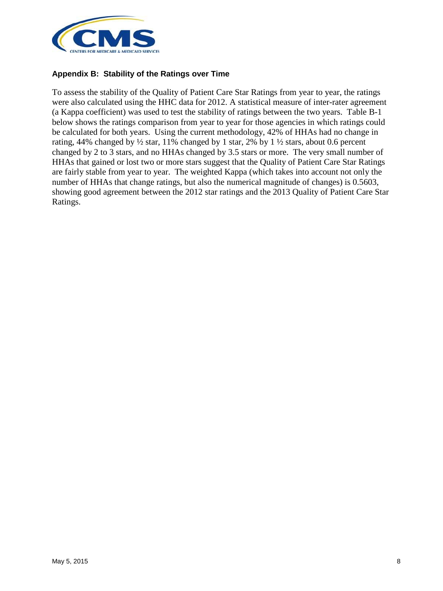

#### **Appendix B: Stability of the Ratings over Time**

To assess the stability of the Quality of Patient Care Star Ratings from year to year, the ratings were also calculated using the HHC data for 2012. A statistical measure of inter-rater agreement (a Kappa coefficient) was used to test the stability of ratings between the two years. Table B-1 below shows the ratings comparison from year to year for those agencies in which ratings could be calculated for both years. Using the current methodology, 42% of HHAs had no change in rating, 44% changed by  $\frac{1}{2}$  star, 11% changed by 1 star, 2% by 1  $\frac{1}{2}$  stars, about 0.6 percent changed by 2 to 3 stars, and no HHAs changed by 3.5 stars or more. The very small number of HHAs that gained or lost two or more stars suggest that the Quality of Patient Care Star Ratings are fairly stable from year to year. The weighted Kappa (which takes into account not only the number of HHAs that change ratings, but also the numerical magnitude of changes) is 0.5603, showing good agreement between the 2012 star ratings and the 2013 Quality of Patient Care Star Ratings.